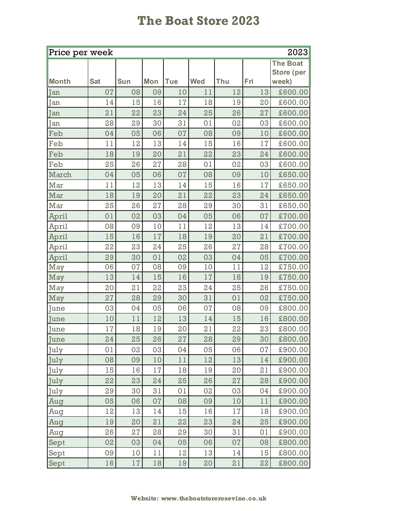## **The Boat Store 2023**

| Price per week<br>2023 |            |            |            |            |            |     |     |            |  |  |
|------------------------|------------|------------|------------|------------|------------|-----|-----|------------|--|--|
|                        |            |            |            |            |            |     |     | The Boat   |  |  |
|                        |            |            |            |            |            |     |     | Store (per |  |  |
| Month                  | <b>Sat</b> | <b>Sun</b> | <b>Mon</b> | <b>Tue</b> | <b>Wed</b> | Thu | Fri | week)      |  |  |
| Jan                    | 07         | 08         | 09         | 10         | 11         | 12  | 13  | £600.00    |  |  |
| <b>Tan</b>             | 14         | 15         | 16         | 17         | 18         | 19  | 20  | £600.00    |  |  |
| Jan                    | 21         | 22         | 23         | 24         | 25         | 26  | 27  | £600.00    |  |  |
| Jan                    | 28         | 29         | 30         | 31         | 01         | 02  | 03  | £600.00    |  |  |
| Feb                    | 04         | 05         | 06         | 07         | 08         | 09  | 10  | £600.00    |  |  |
| Feb                    | 11         | 12         | 13         | 14         | 15         | 16  | 17  | £600.00    |  |  |
| Feb                    | 18         | 19         | 20         | 21         | 22         | 23  | 24  | £600.00    |  |  |
| Feb                    | 25         | 26         | 27         | 28         | 01         | 02  | 03  | £600.00    |  |  |
| March                  | 04         | 05         | 06         | 07         | 08         | 09  | 10  | £650.00    |  |  |
| Mar                    | 11         | 12         | 13         | 14         | 15         | 16  | 17  | £650.00    |  |  |
| Mar                    | 18         | 19         | 20         | 21         | 22         | 23  | 24  | £650.00    |  |  |
| Mar                    | 25         | 26         | 27         | 28         | 29         | 30  | 31  | £650.00    |  |  |
| April                  | 01         | 02         | 03         | 04         | 05         | 06  | 07  | £700.00    |  |  |
| April                  | 08         | 09         | 10         | 11         | 12         | 13  | 14  | £700.00    |  |  |
| April                  | 15         | 16         | 17         | 18         | 19         | 20  | 21  | £700.00    |  |  |
| April                  | 22         | 23         | 24         | 25         | 26         | 27  | 28  | £700.00    |  |  |
| April                  | 29         | 30         | 01         | 02         | 03         | 04  | 05  | £700.00    |  |  |
| May                    | 06         | 07         | 08         | 09         | 10         | 11  | 12  | £750.00    |  |  |
| May                    | 13         | 14         | 15         | 16         | 17         | 18  | 19  | £750.00    |  |  |
| May                    | 20         | 21         | 22         | 23         | 24         | 25  | 26  | £750.00    |  |  |
| May                    | 27         | 28         | 29         | 30         | 31         | 01  | 02  | £750.00    |  |  |
| June                   | 03         | 04         | 05         | 06         | 07         | 08  | 09  | £800.00    |  |  |
| June                   | 10         | 11         | 12         | 13         | 14         | 15  | 16  | £800.00    |  |  |
| June                   | 17         | 18         | 19         | 20         | 21         | 22  | 23  | £800.00    |  |  |
| June                   | 24         | 25         | 26         | 27         | 28         | 29  | 30  | £800.00    |  |  |
| July                   | 01         | 02         | 03         | 04         | 05         | 06  | 07  | £900.00    |  |  |
| July                   | 08         | 09         | 10         | 11         | 12         | 13  | 14  | £900.00    |  |  |
| July                   | 15         | 16         | 17         | 18         | 19         | 20  | 21  | £900.00    |  |  |
| July                   | 22         | 23         | 24         | 25         | 26         | 27  | 28  | £900.00    |  |  |
| July                   | 29         | 30         | 31         | 01         | 02         | 03  | 04  | £900.00    |  |  |
| Aug                    | 05         | 06         | 07         | 80         | 09         | 10  | 11  | £900.00    |  |  |
| Aug                    | 12         | 13         | 14         | 15         | 16         | 17  | 18  | £900.00    |  |  |
| Aug                    | 19         | 20         | 21         | 22         | 23         | 24  | 25  | £900.00    |  |  |
| Aug                    | 26         | 27         | 28         | 29         | 30         | 31  | 01  | £900.00    |  |  |
| Sept                   | 02         | 03         | 04         | 05         | 06         | 07  | 08  | £800.00    |  |  |
| Sept                   | 09         | 10         | 11         | 12         | 13         | 14  | 15  | £800.00    |  |  |
| Sept                   | 16         | 17         | 18         | 19         | 20         | 21  | 22  | £800.00    |  |  |